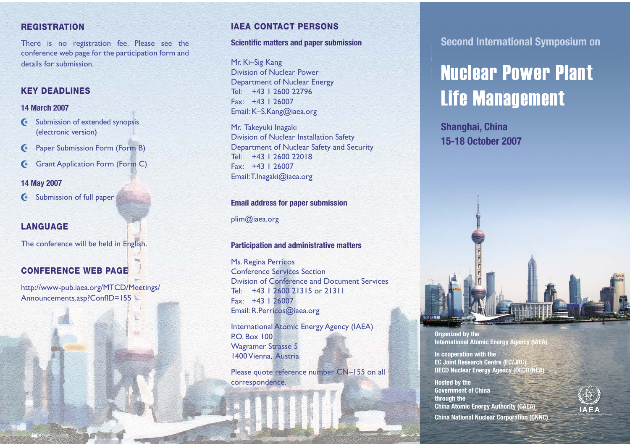### **REGISTRATION**

There is no registration fee. Please see the conference web page for the participation form and details for submission.

### **KEY DEADLINES**

### **14 March 2007**

- G Submission of extended synopsis (electronic version)
- **C** Paper Submission Form (Form B)
- **Grant Application Form (Form C)**

### **14 May 2007**

G Submission of full paper

### **LANGUAGE**

The conference will be held in English.

## **CONFERENCE WEB PAGE**

http://www-pub.iaea.org/MTCD/Meetings/ Announcements.asp?ConfID=155

## **IAEA CONTACT PERSONS**

### **Scientific matters and paper submission**

Mr. Ki–Sig Kang Division of Nuclear PowerDepartment of Nuclear Energy Tel: +43 1 2600 22796Fax: +43 1 26007Email: K–S.Kang@iaea.org

Mr. Takeyuki Inagaki Division of Nuclear Installation Safety Department of Nuclear Safety and Security Tel: +43 1 2600 22018Fax: +43 1 26007Email: T.Inagaki@iaea.org

### **Email address for paper submission**

plim@iaea.org

### **Participation and administrative matters**

Ms. Regina Perricos Conference Services Section Division of Conference and Document Services Tel: +43 1 2600 21315 or 21311Fax: +43 1 26007Email: R.Perricos@iaea.org

International Atomic Energy Agency (IAEA) P.O. Box 100Wagramer Strasse 5 1400 Vienna, Austria

Please quote reference number CN–155 on all correspondence.

**Kanadia Management Management Management Second International Symposium on**

# **in Nuclear Power Plant Life Management** 18–21 June 2007

**Shanghai, China 15-18 October 2007**



**Government of China through the China Atomic Energy Authority (CAEA)** Nuclear Energy Institute (NEI) **China National Nuclear Corporation (CNNC)** 

**International Atomic Energy Agency (IAEA)**

**EC Joint Research Centre (EC/JRC) OECD Nuclear Energy Agency (OECD/NEA)** 

**Hosted by the** 

**Organized by the**

**In cooperation with the**

World Nuclear Association (WNA)



*n*<sub>057</sub>\_2007